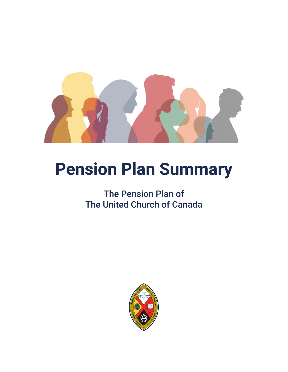

# **Pension Plan Summary**

### The Pension Plan of The United Church of Canada

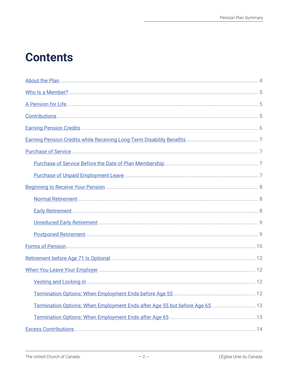## **Contents**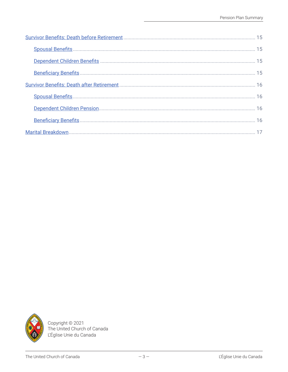

Copyright © 2021<br>The United Church of Canada L'Église Unie du Canada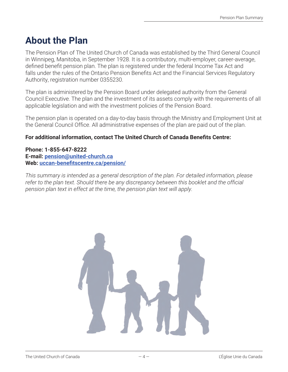### <span id="page-3-0"></span>**About the Plan**

The Pension Plan of The United Church of Canada was established by the Third General Council in Winnipeg, Manitoba, in September 1928. It is a contributory, multi-employer, career-average, defined benefit pension plan. The plan is registered under the federal Income Tax Act and falls under the rules of the Ontario Pension Benefits Act and the Financial Services Regulatory Authority, registration number 0355230.

The plan is administered by the Pension Board under delegated authority from the General Council Executive. The plan and the investment of its assets comply with the requirements of all applicable legislation and with the investment policies of the Pension Board.

The pension plan is operated on a day-to-day basis through the Ministry and Employment Unit at the General Council Office. All administrative expenses of the plan are paid out of the plan.

#### **For additional information, contact The United Church of Canada Benefits Centre:**

#### **Phone: 1-855-647-8222 E-mail: [pension@united-church.ca](mailto:pension@united-church.ca) Web: [uccan-benefitscentre.ca/pension/](https://www.uccan-benefitscentre.ca/pension/)**

*This summary is intended as a general description of the plan. For detailed information, please refer to the plan text. Should there be any discrepancy between this booklet and the official pension plan text in effect at the time, the pension plan text will apply.* 

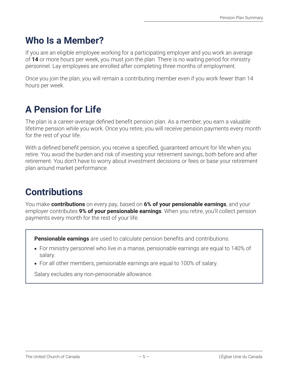### <span id="page-4-0"></span>**Who Is a Member?**

If you are an eligible employee working for a participating employer and you work an average of **14** or more hours per week, you must join the plan. There is no waiting period for ministry personnel. Lay employees are enrolled after completing three months of employment.

Once you join the plan, you will remain a contributing member even if you work fewer than 14 hours per week.

### <span id="page-4-1"></span>**A Pension for Life**

The plan is a career-average defined benefit pension plan. As a member, you earn a valuable lifetime pension while you work. Once you retire, you will receive pension payments every month for the rest of your life.

With a defined benefit pension, you receive a specified, guaranteed amount for life when you retire. You avoid the burden and risk of investing your retirement savings, both before and after retirement. You don't have to worry about investment decisions or fees or base your retirement plan around market performance.

### <span id="page-4-2"></span>**Contributions**

You make **contributions** on every pay, based on **6% of your pensionable earnings**, and your employer contributes **9% of your pensionable earnings**. When you retire, you'll collect pension payments every month for the rest of your life.

**Pensionable earnings** are used to calculate pension benefits and contributions.

- For ministry personnel who live in a manse, pensionable earnings are equal to 140% of salary.
- For all other members, pensionable earnings are equal to 100% of salary.

Salary excludes any non-pensionable allowance.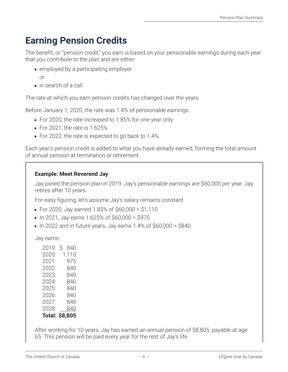### <span id="page-5-0"></span>**Earning Pension Credits**

The benefit, or "pension credit," you earn is based on your pensionable earnings during each year that you contribute to the plan and are either

- employed by a participating employer
	- or
- in search of a call

The rate at which you earn pension credits has changed over the years.

Before January 1, 2020, the rate was 1.4% of pensionable earnings.

- For 2020, the rate increased to 1.85% for one year only.
- For 2021, the rate is 1.625%.
- For 2022, the rate is expected to go back to 1.4%.

Each year's pension credit is added to what you have already earned, forming the total amount of annual pension at termination or retirement.

### **Example: Meet Reverend Jay**

Jay joined the pension plan in 2019. Jay's pensionable earnings are \$60,000 per year. Jay retires after 10 years.

For easy figuring, let's assume Jay's salary remains constant

- For 2020, Jay earned 1.85% of \$60,000 = \$1,110
- $\blacksquare$  In 2021, Jay earns 1.625% of \$60,000 = \$975
- $\blacksquare$  In 2022 and in future years, Jay earns 1.4% of \$60,000 = \$840

Jay earns:

| 2019: | Ŝ<br>840              |
|-------|-----------------------|
| 2020: | 1,110                 |
| 2021: | 975                   |
| 2022: | 840                   |
| 2023: | 840                   |
| 2024: | 840                   |
| 2025: | 840                   |
| 2026: | 840                   |
| 2027: | 840                   |
| 2028: | 840                   |
|       | <b>Total: \$8,805</b> |

After working for 10 years, Jay has earned an annual pension of \$8,805, payable at age 65. This pension will be paid every year for the rest of Jay's life.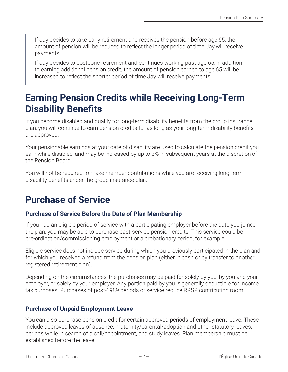If Jay decides to take early retirement and receives the pension before age 65, the amount of pension will be reduced to reflect the longer period of time Jay will receive payments.

If Jay decides to postpone retirement and continues working past age 65, in addition to earning additional pension credit, the amount of pension earned to age 65 will be increased to reflect the shorter period of time Jay will receive payments.

### <span id="page-6-0"></span>**Earning Pension Credits while Receiving Long-Term Disability Benefits**

If you become disabled and qualify for long-term disability benefits from the group insurance plan, you will continue to earn pension credits for as long as your long-term disability benefits are approved.

Your pensionable earnings at your date of disability are used to calculate the pension credit you earn while disabled, and may be increased by up to 3% in subsequent years at the discretion of the Pension Board.

You will not be required to make member contributions while you are receiving long-term disability benefits under the group insurance plan.

### <span id="page-6-1"></span>**Purchase of Service**

### <span id="page-6-2"></span>**Purchase of Service Before the Date of Plan Membership**

If you had an eligible period of service with a participating employer before the date you joined the plan, you may be able to purchase past-service pension credits. This service could be pre‑ordination/commissioning employment or a probationary period, for example.

Eligible service does not include service during which you previously participated in the plan and for which you received a refund from the pension plan (either in cash or by transfer to another registered retirement plan).

Depending on the circumstances, the purchases may be paid for solely by you, by you and your employer, or solely by your employer. Any portion paid by you is generally deductible for income tax purposes. Purchases of post-1989 periods of service reduce RRSP contribution room.

### <span id="page-6-3"></span>**Purchase of Unpaid Employment Leave**

You can also purchase pension credit for certain approved periods of employment leave. These include approved leaves of absence, maternity/parental/adoption and other statutory leaves, periods while in search of a call/appointment, and study leaves. Plan membership must be established before the leave.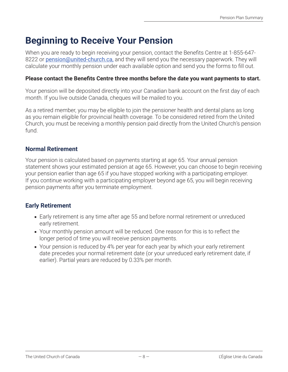### <span id="page-7-0"></span>**Beginning to Receive Your Pension**

When you are ready to begin receiving your pension, contact the Benefits Centre at 1-855-647 8222 or [pension@united-church.ca](mailto:pension@united-church.ca), and they will send you the necessary paperwork. They will calculate your monthly pension under each available option and send you the forms to fill out.

#### **Please contact the Benefits Centre three months before the date you want payments to start.**

Your pension will be deposited directly into your Canadian bank account on the first day of each month. If you live outside Canada, cheques will be mailed to you.

As a retired member, you may be eligible to join the pensioner health and dental plans as long as you remain eligible for provincial health coverage. To be considered retired from the United Church, you must be receiving a monthly pension paid directly from the United Church's pension fund.

#### <span id="page-7-1"></span>**Normal Retirement**

Your pension is calculated based on payments starting at age 65. Your annual pension statement shows your estimated pension at age 65. However, you can choose to begin receiving your pension earlier than age 65 if you have stopped working with a participating employer. If you continue working with a participating employer beyond age 65, you will begin receiving pension payments after you terminate employment.

#### <span id="page-7-2"></span>**Early Retirement**

- Early retirement is any time after age 55 and before normal retirement or unreduced early retirement.
- Your monthly pension amount will be reduced. One reason for this is to reflect the longer period of time you will receive pension payments.
- Your pension is reduced by 4% per year for each year by which your early retirement date precedes your normal retirement date (or your unreduced early retirement date, if earlier). Partial years are reduced by 0.33% per month.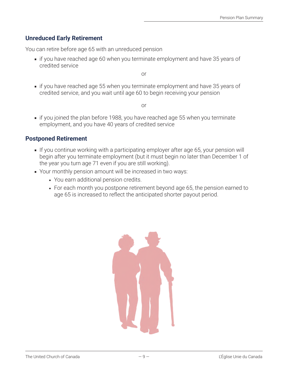### <span id="page-8-0"></span>**Unreduced Early Retirement**

You can retire before age 65 with an unreduced pension

■ if you have reached age 60 when you terminate employment and have 35 years of credited service

or

■ if you have reached age 55 when you terminate employment and have 35 years of credited service, and you wait until age 60 to begin receiving your pension

or

■ if you joined the plan before 1988, you have reached age 55 when you terminate employment, and you have 40 years of credited service

### <span id="page-8-1"></span>**Postponed Retirement**

- If you continue working with a participating employer after age 65, your pension will begin after you terminate employment (but it must begin no later than December 1 of the year you turn age 71 even if you are still working).
- Your monthly pension amount will be increased in two ways:
	- You earn additional pension credits.
	- For each month you postpone retirement beyond age 65, the pension earned to age 65 is increased to reflect the anticipated shorter payout period.

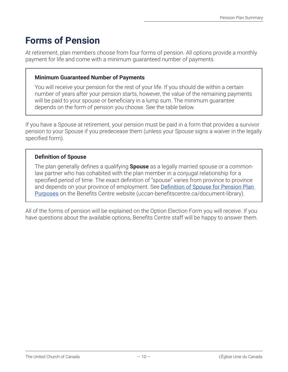### <span id="page-9-1"></span><span id="page-9-0"></span>**[Forms of Pension](#page-15-4)**

At retirement, plan members choose from four forms of pension. All options provide a monthly payment for life and come with a minimum guaranteed number of payments.

#### **Minimum Guaranteed Number of Payments**

You will receive your pension for the rest of your life. If you should die within a certain number of years after your pension starts, however, the value of the remaining payments will be paid to your spouse or beneficiary in a lump sum. The minimum guarantee depends on the form of pension you choose. See the table below.

If you have a Spouse at retirement, your pension must be paid in a form that provides a survivor pension to your Spouse if you predecease them (unless your Spouse signs a waiver in the legally specified form).

### **[Definition of Spouse](#page-14-4)**

The plan generally defines a qualifying **Spouse** as a legally married spouse or a commonlaw partner who has cohabited with the plan member in a conjugal relationship for a specified period of time. The exact definition of "spouse" varies from province to province and depends on your province of employment. See Definition of Spouse for Pension Plan [Purposes](https://www.uccan-benefitscentre.ca/document-library/) on the Benefits Centre website (uccan-benefitscentre.ca/document-library).

All of the forms of pension will be explained on the Option Election Form you will receive. If you have questions about the available options, Benefits Centre staff will be happy to answer them.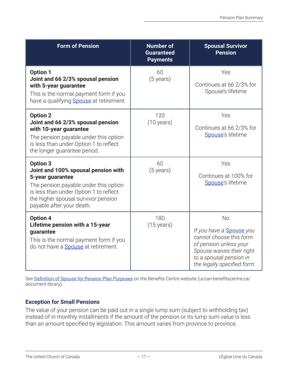<span id="page-10-0"></span>

| <b>Form of Pension</b>                                                                                                                                                                                                            | <b>Number of</b><br><b>Guaranteed</b><br><b>Payments</b> | <b>Spousal Survivor</b><br><b>Pension</b>                                                                                                                                                |
|-----------------------------------------------------------------------------------------------------------------------------------------------------------------------------------------------------------------------------------|----------------------------------------------------------|------------------------------------------------------------------------------------------------------------------------------------------------------------------------------------------|
| <b>Option 1</b><br>Joint and 66 2/3% spousal pension<br>with 5-year guarantee<br>This is the normal payment form if you<br>have a qualifying <b>Spouse</b> at retirement.                                                         | 60<br>$(5 \text{ years})$                                | Yes<br>Continues at 66 2/3% for<br>Spouse's lifetime                                                                                                                                     |
| <b>Option 2</b><br>Joint and 66 2/3% spousal pension<br>with 10-year guarantee<br>The pension payable under this option<br>is less than under Option 1 to reflect<br>the longer guarantee period.                                 | 120<br>$(10 \text{ years})$                              | Yes<br>Continues at 66 2/3% for<br>Spouse's lifetime                                                                                                                                     |
| <b>Option 3</b><br>Joint and 100% spousal pension with<br>5-year guarantee<br>The pension payable under this option<br>is less than under Option 1 to reflect<br>the higher spousal survivor pension<br>payable after your death. | 60<br>$(5 \text{ years})$                                | Yes<br>Continues at 100% for<br>Spouse's lifetime                                                                                                                                        |
| <b>Option 4</b><br>Lifetime pension with a 15-year<br>guarantee<br>This is the normal payment form if you<br>do not have a <b>Spouse</b> at retirement.                                                                           | 180<br>$(15 \text{ years})$                              | <b>No</b><br>If you have a <b>Spouse</b> you<br>cannot choose this form<br>of pension unless your<br>Spouse waives their right<br>to a spousal pension in<br>the legally specified form. |

See [Definition of Spouse for Pension Plan Purposes](https://www.uccan-benefitscentre.ca/document-library/) on the Benefits Centre website (uccan-benefitscentre.ca/ document-library).

#### **[Exception for Small Pensions](#page-14-5)**

The value of your pension can be paid out in a single lump sum (subject to withholding tax) instead of in monthly installments if the amount of the pension or its lump sum value is less than an amount specified by legislation. This amount varies from province to province.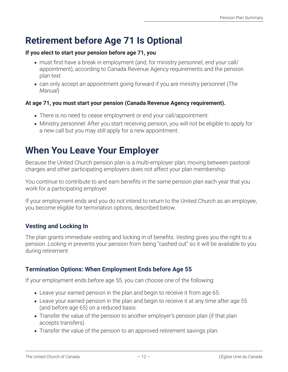### <span id="page-11-0"></span>**Retirement before Age 71 Is Optional**

#### **If you elect to start your pension before age 71, you**

- must first have a break in employment (and, for ministry personnel, end your call/ appointment), according to Canada Revenue Agency requirements and the pension plan text
- can only accept an appointment going forward if you are ministry personnel (*The Manual*)

#### **At age 71, you must start your pension (Canada Revenue Agency requirement).**

- There is no need to cease employment or end your call/appointment.
- Ministry personnel: After you start receiving pension, you will not be eligible to apply for a new call but you may still apply for a new appointment.

### <span id="page-11-1"></span>**When You Leave Your Employer**

Because the United Church pension plan is a multi-employer plan, moving between pastoral charges and other participating employers does not affect your plan membership.

You continue to contribute to and earn benefits in the same pension plan each year that you work for a participating employer.

If your employment ends and you do not intend to return to the United Church as an employee, you become eligible for termination options, described below.

### <span id="page-11-2"></span>**Vesting and Locking In**

The plan grants immediate vesting and locking in of benefits. *Vesting* gives you the right to a pension. *Locking in* prevents your pension from being "cashed out" so it will be available to you during retirement.

### <span id="page-11-3"></span>**Termination Options: When Employment Ends before Age 55**

If your employment ends before age 55, you can choose one of the following:

- Leave your earned pension in the plan and begin to receive it from age 65.
- Leave your earned pension in the plan and begin to receive it at any time after age 55 (and before age 65) on a reduced basis.
- Transfer the value of the pension to another employer's pension plan (if that plan accepts transfers).
- Transfer the value of the pension to an approved retirement savings plan.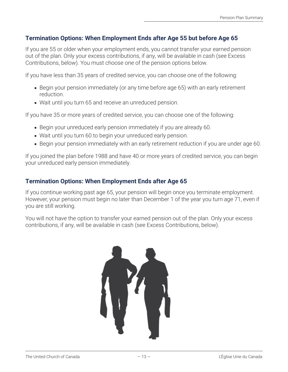### <span id="page-12-0"></span>**Termination Options: When Employment Ends after Age 55 but before Age 65**

If you are 55 or older when your employment ends, you cannot transfer your earned pension out of the plan. Only your excess contributions, if any, will be available in cash (see Excess Contributions, below). You must choose one of the pension options below.

If you have less than 35 years of credited service, you can choose one of the following:

- Begin your pension immediately (or any time before age 65) with an early retirement reduction.
- Wait until you turn 65 and receive an unreduced pension.

If you have 35 or more years of credited service, you can choose one of the following:

- Begin your unreduced early pension immediately if you are already 60.
- Wait until you turn 60 to begin your unreduced early pension.
- Begin your pension immediately with an early retirement reduction if you are under age 60.

If you joined the plan before 1988 and have 40 or more years of credited service, you can begin your unreduced early pension immediately.

### <span id="page-12-1"></span>**Termination Options: When Employment Ends after Age 65**

If you continue working past age 65, your pension will begin once you terminate employment. However, your pension must begin no later than December 1 of the year you turn age 71, even if you are still working.

You will not have the option to transfer your earned pension out of the plan. Only your excess contributions, if any, will be available in cash (see Excess Contributions, below).

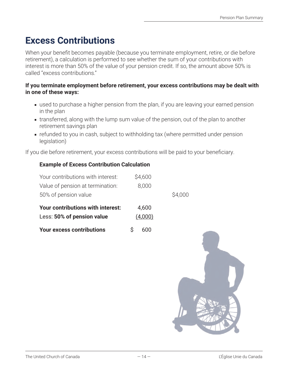### <span id="page-13-0"></span>**Excess Contributions**

When your benefit becomes payable (because you terminate employment, retire, or die before retirement), a calculation is performed to see whether the sum of your contributions with interest is more than 50% of the value of your pension credit. If so, the amount above 50% is called "excess contributions."

#### **If you terminate employment before retirement, your excess contributions may be dealt with in one of these ways:**

- used to purchase a higher pension from the plan, if you are leaving your earned pension in the plan
- transferred, along with the lump sum value of the pension, out of the plan to another retirement savings plan
- refunded to you in cash, subject to withholding tax (where permitted under pension legislation)

If you die before retirement, your excess contributions will be paid to your beneficiary.

### **Example of Excess Contribution Calculation**

| Your contributions with interest: | \$4,600 |         |
|-----------------------------------|---------|---------|
| Value of pension at termination:  | 8,000   |         |
| 50% of pension value              |         | \$4,000 |
| Your contributions with interest: | 4,600   |         |
| Less: 50% of pension value        | (4,000) |         |
| <b>Your excess contributions</b>  | 600     |         |

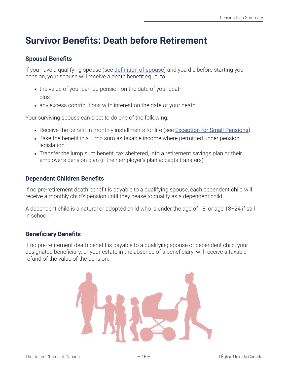### <span id="page-14-0"></span>**Survivor Benefits: Death before Retirement**

### <span id="page-14-1"></span>**Spousal Benefits**

<span id="page-14-4"></span>If you have a qualifying spouse (see **[definition of spouse](#page-9-1)**) and you die before starting your pension, your spouse will receive a death benefit equal to

- the value of your earned pension on the date of your death plus
- any excess contributions with interest on the date of your death

Your surviving spouse can elect to do one of the following:

- <span id="page-14-5"></span>■ Receive the benefit in monthly installments for life (see [Exception for Small Pensions](#page-10-0)).
- Take the benefit in a lump sum as taxable income where permitted under pension legislation.
- Transfer the lump sum benefit, tax sheltered, into a retirement savings plan or their employer's pension plan (if their employer's plan accepts transfers).

### <span id="page-14-2"></span>**Dependent Children Benefits**

If no pre-retirement death benefit is payable to a qualifying spouse, each dependent child will receive a monthly child's pension until they cease to qualify as a dependent child.

A dependent child is a natural or adopted child who is under the age of 18, or age 18–24 if still in school.

### <span id="page-14-3"></span>**Beneficiary Benefits**

If no pre-retirement death benefit is payable to a qualifying spouse or dependent child, your designated beneficiary, or your estate in the absence of a beneficiary, will receive a taxable refund of the value of the pension.

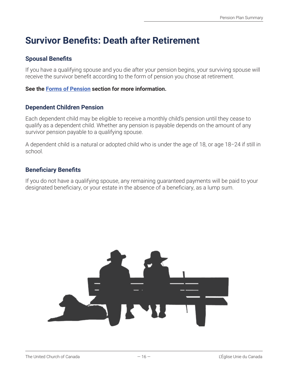### <span id="page-15-0"></span>**Survivor Benefits: Death after Retirement**

### <span id="page-15-1"></span>**Spousal Benefits**

If you have a qualifying spouse and you die after your pension begins, your surviving spouse will receive the survivor benefit according to the form of pension you chose at retirement.

#### <span id="page-15-4"></span>**See the [Forms of Pension](#page-9-1) section for more information.**

#### <span id="page-15-2"></span>**Dependent Children Pension**

Each dependent child may be eligible to receive a monthly child's pension until they cease to qualify as a dependent child. Whether any pension is payable depends on the amount of any survivor pension payable to a qualifying spouse.

A dependent child is a natural or adopted child who is under the age of 18, or age 18-24 if still in school.

### <span id="page-15-3"></span>**Beneficiary Benefits**

If you do not have a qualifying spouse, any remaining guaranteed payments will be paid to your designated beneficiary, or your estate in the absence of a beneficiary, as a lump sum.